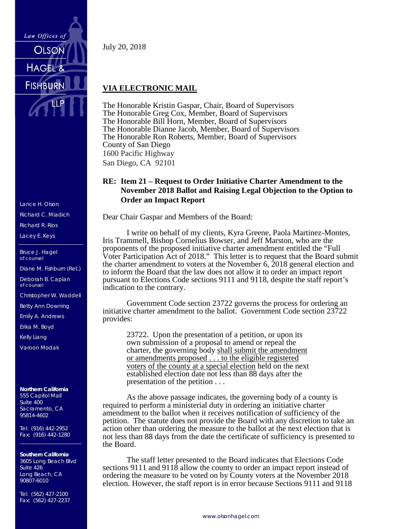

Lance H. Olson Richard C. Miadich

Richard R. Rios Lacey E. Keys

Bruce J. Hagel of counsel

Diane M. Fishburn (Ret.)

Deborah B. Caplan of counsel

Christopher W. Waddell

Betty Ann Downing

Emily A. Andrews

Erika M. Boyd

Kelly Liang

Varoon Modak

**Northern California** 555 Capitol Mall Suite 400 Sacramento, CA 95814-4602

Tel: (916) 442-2952 Fax: (916) 442-1280

**Southern California** 3605 Long Beach Blvd Suite 426 Long Beach, CA 90807-6010

Tel: (562) 427-2100 Fax: (562) 427-2237 July 20, 2018

## **VIA ELECTRONIC MAIL**

The Honorable Kristin Gaspar, Chair, Board of Supervisors The Honorable Greg Cox, Member, Board of Supervisors The Honorable Bill Horn, Member, Board of Supervisors The Honorable Dianne Jacob, Member, Board of Supervisors The Honorable Ron Roberts, Member, Board of Supervisors County of San Diego 1600 Pacific Highway San Diego, CA 92101

## **RE: Item 21 – Request to Order Initiative Charter Amendment to the November 2018 Ballot and Raising Legal Objection to the Option to Order an Impact Report**

Dear Chair Gaspar and Members of the Board:

I write on behalf of my clients, Kyra Greene, Paola Martinez-Montes, Iris Trammell, Bishop Cornelius Bowser, and Jeff Marston, who are the proponents of the proposed initiative charter amendment entitled the "Full Voter Participation Act of 2018." This letter is to request that the Board submit the charter amendment to voters at the November 6, 2018 general election and to inform the Board that the law does not allow it to order an impact report pursuant to Elections Code sections 9111 and 9118, despite the staff report's indication to the contrary.

Government Code section 23722 governs the process for ordering an initiative charter amendment to the ballot. Government Code section 23722 provides:

23722. Upon the presentation of a petition, or upon its own submission of a proposal to amend or repeal the charter, the governing body shall submit the amendment or amendments proposed . . . to the eligible registered voters of the county at a special election held on the next established election date not less than 88 days after the presentation of the petition . . .

As the above passage indicates, the governing body of a county is required to perform a ministerial duty in ordering an initiative charter amendment to the ballot when it receives notification of sufficiency of the petition. The statute does not provide the Board with any discretion to take an action other than ordering the measure to the ballot at the next election that is not less than 88 days from the date the certificate of sufficiency is presented to the Board.

The staff letter presented to the Board indicates that Elections Code sections 9111 and 9118 allow the county to order an impact report instead of ordering the measure to be voted on by County voters at the November 2018 election. However, the staff report is in error because Sections 9111 and 9118